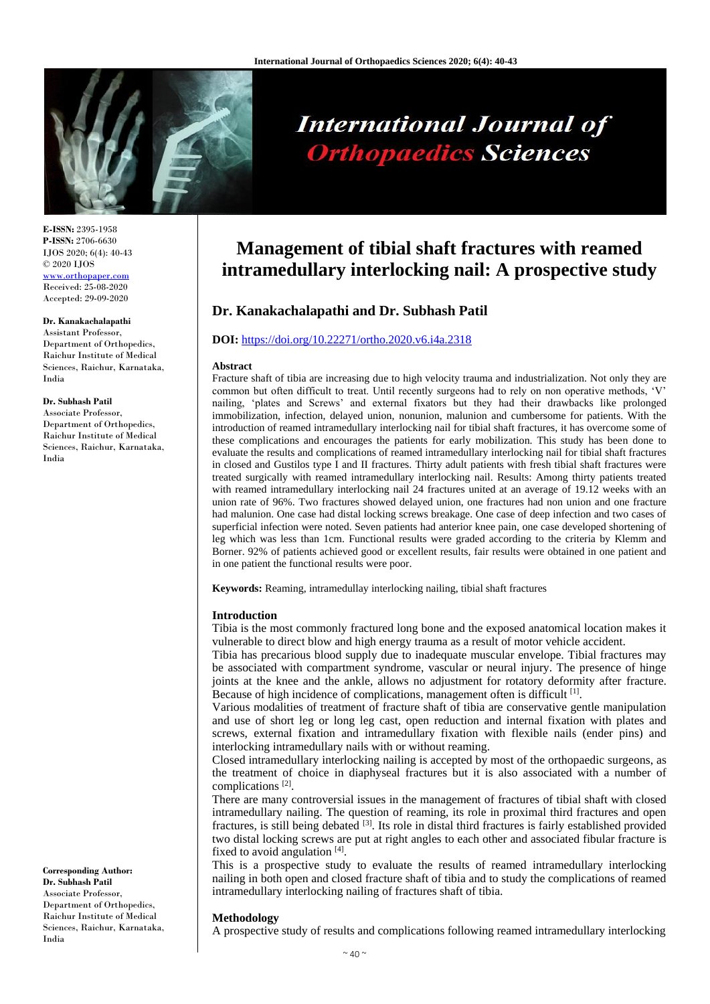

# **International Journal of Orthopaedics Sciences**

**E-ISSN:** 2395-1958 **P-ISSN:** 2706-6630 IJOS 2020; 6(4): 40-43 © 2020 IJOS [www.orthopaper.com](http://www.orthopaper.com/) Received: 25-08-2020 Accepted: 29-09-2020

# **Dr. Kanakachalapathi**

Assistant Professor, Department of Orthopedics, Raichur Institute of Medical Sciences, Raichur, Karnataka, India

# **Dr. Subhash Patil**

Associate Professor, Department of Orthopedics, Raichur Institute of Medical Sciences, Raichur, Karnataka, India

**Corresponding Author: Dr. Subhash Patil** Associate Professor, Department of Orthopedics, Raichur Institute of Medical Sciences, Raichur, Karnataka, India

# **Management of tibial shaft fractures with reamed intramedullary interlocking nail: A prospective study**

# **Dr. Kanakachalapathi and Dr. Subhash Patil**

# **DOI:** <https://doi.org/10.22271/ortho.2020.v6.i4a.2318>

# **Abstract**

Fracture shaft of tibia are increasing due to high velocity trauma and industrialization. Not only they are common but often difficult to treat. Until recently surgeons had to rely on non operative methods, 'V' nailing, 'plates and Screws' and external fixators but they had their drawbacks like prolonged immobilization, infection, delayed union, nonunion, malunion and cumbersome for patients. With the introduction of reamed intramedullary interlocking nail for tibial shaft fractures, it has overcome some of these complications and encourages the patients for early mobilization. This study has been done to evaluate the results and complications of reamed intramedullary interlocking nail for tibial shaft fractures in closed and Gustilos type I and II fractures. Thirty adult patients with fresh tibial shaft fractures were treated surgically with reamed intramedullary interlocking nail. Results: Among thirty patients treated with reamed intramedullary interlocking nail 24 fractures united at an average of 19.12 weeks with an union rate of 96%. Two fractures showed delayed union, one fractures had non union and one fracture had malunion. One case had distal locking screws breakage. One case of deep infection and two cases of superficial infection were noted. Seven patients had anterior knee pain, one case developed shortening of leg which was less than 1cm. Functional results were graded according to the criteria by Klemm and Borner. 92% of patients achieved good or excellent results, fair results were obtained in one patient and in one patient the functional results were poor.

**Keywords:** Reaming, intramedullay interlocking nailing, tibial shaft fractures

# **Introduction**

Tibia is the most commonly fractured long bone and the exposed anatomical location makes it vulnerable to direct blow and high energy trauma as a result of motor vehicle accident.

Tibia has precarious blood supply due to inadequate muscular envelope. Tibial fractures may be associated with compartment syndrome, vascular or neural injury. The presence of hinge joints at the knee and the ankle, allows no adjustment for rotatory deformity after fracture. Because of high incidence of complications, management often is difficult [1].

Various modalities of treatment of fracture shaft of tibia are conservative gentle manipulation and use of short leg or long leg cast, open reduction and internal fixation with plates and screws, external fixation and intramedullary fixation with flexible nails (ender pins) and interlocking intramedullary nails with or without reaming.

Closed intramedullary interlocking nailing is accepted by most of the orthopaedic surgeons, as the treatment of choice in diaphyseal fractures but it is also associated with a number of complications<sup>[2]</sup>.

There are many controversial issues in the management of fractures of tibial shaft with closed intramedullary nailing. The question of reaming, its role in proximal third fractures and open fractures, is still being debated [3]. Its role in distal third fractures is fairly established provided two distal locking screws are put at right angles to each other and associated fibular fracture is fixed to avoid angulation  $[4]$ .

This is a prospective study to evaluate the results of reamed intramedullary interlocking nailing in both open and closed fracture shaft of tibia and to study the complications of reamed intramedullary interlocking nailing of fractures shaft of tibia.

# **Methodology**

A prospective study of results and complications following reamed intramedullary interlocking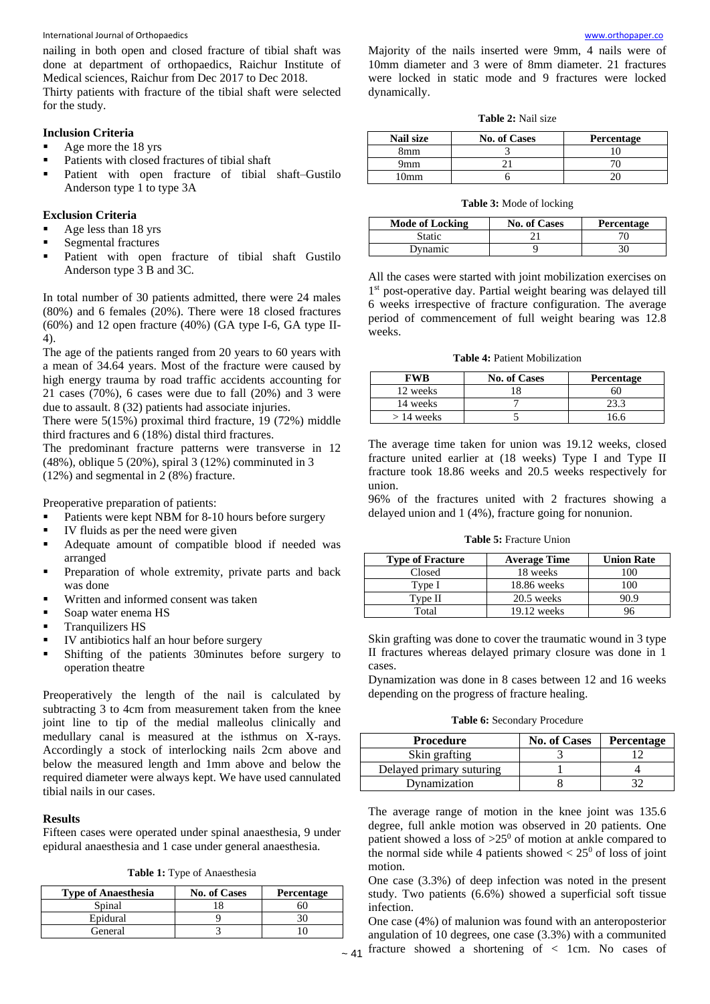#### International Journal of Orthopaedics

nailing in both open and closed fracture of tibial shaft was done at department of orthopaedics, Raichur Institute of Medical sciences, Raichur from Dec 2017 to Dec 2018. Thirty patients with fracture of the tibial shaft were selected for the study.

# **Inclusion Criteria**

- Age more the 18 yrs
- Patients with closed fractures of tibial shaft
- Patient with open fracture of tibial shaft–Gustilo Anderson type 1 to type 3A

# **Exclusion Criteria**

- Age less than 18 yrs
- Segmental fractures
- Patient with open fracture of tibial shaft Gustilo Anderson type 3 B and 3C.

In total number of 30 patients admitted, there were 24 males (80%) and 6 females (20%). There were 18 closed fractures (60%) and 12 open fracture (40%) (GA type I-6, GA type II-4).

The age of the patients ranged from 20 years to 60 years with a mean of 34.64 years. Most of the fracture were caused by high energy trauma by road traffic accidents accounting for 21 cases  $(70\%)$ , 6 cases were due to fall  $(20\%)$  and 3 were due to assault. 8 (32) patients had associate injuries.

There were 5(15%) proximal third fracture, 19 (72%) middle third fractures and 6 (18%) distal third fractures.

The predominant fracture patterns were transverse in 12 (48%), oblique 5 (20%), spiral 3 (12%) comminuted in 3 (12%) and segmental in 2 (8%) fracture.

Preoperative preparation of patients:

- Patients were kept NBM for 8-10 hours before surgery
- IV fluids as per the need were given
- Adequate amount of compatible blood if needed was arranged
- Preparation of whole extremity, private parts and back was done
- Written and informed consent was taken
- Soap water enema HS
- Tranquilizers HS
- IV antibiotics half an hour before surgery
- Shifting of the patients 30minutes before surgery to operation theatre

Preoperatively the length of the nail is calculated by subtracting 3 to 4cm from measurement taken from the knee joint line to tip of the medial malleolus clinically and medullary canal is measured at the isthmus on X-rays. Accordingly a stock of interlocking nails 2cm above and below the measured length and 1mm above and below the required diameter were always kept. We have used cannulated tibial nails in our cases.

# **Results**

Fifteen cases were operated under spinal anaesthesia, 9 under epidural anaesthesia and 1 case under general anaesthesia.

**Table 1:** Type of Anaesthesia

| <b>Type of Anaesthesia</b> | <b>No. of Cases</b> | <b>Percentage</b> |
|----------------------------|---------------------|-------------------|
| Spinal                     |                     |                   |
| Epidural                   |                     |                   |
| General                    |                     |                   |

m Majority of the nails inserted were 9mm[, 4](http://www.orthopaper.com/) nails were of 10mm diameter and 3 were of 8mm diameter. 21 fractures were locked in static mode and 9 fractures were locked dynamically.

| <b>Table 2: Nail size</b> |  |  |
|---------------------------|--|--|
|                           |  |  |

| Nail size       | <b>No. of Cases</b> | Percentage |
|-----------------|---------------------|------------|
| 8mm             |                     |            |
| 9mm             |                     |            |
| 0 <sub>mm</sub> |                     |            |

#### **Table 3:** Mode of locking

| <b>Mode of Locking</b> | <b>No. of Cases</b> | <b>Percentage</b> |
|------------------------|---------------------|-------------------|
| Static                 |                     |                   |
| Dynamic                |                     | 30                |

All the cases were started with joint mobilization exercises on 1 st post-operative day. Partial weight bearing was delayed till 6 weeks irrespective of fracture configuration. The average period of commencement of full weight bearing was 12.8 weeks.

| <b>Table 4: Patient Mobilization</b> |  |  |  |
|--------------------------------------|--|--|--|
|--------------------------------------|--|--|--|

| FWB          | <b>No. of Cases</b> | <b>Percentage</b> |
|--------------|---------------------|-------------------|
| 12 weeks     |                     | 60                |
| 14 weeks     |                     | 23.3              |
| $> 14$ weeks |                     | 16.6              |

The average time taken for union was 19.12 weeks, closed fracture united earlier at (18 weeks) Type I and Type II fracture took 18.86 weeks and 20.5 weeks respectively for union.

96% of the fractures united with 2 fractures showing a delayed union and 1 (4%), fracture going for nonunion.

**Table 5:** Fracture Union

| <b>Type of Fracture</b> | <b>Average Time</b> | <b>Union Rate</b> |
|-------------------------|---------------------|-------------------|
| Closed                  | 18 weeks            | 100               |
| Type I                  | 18.86 weeks         | 100               |
| Type II                 | $20.5$ weeks        | 90.9              |
| Total                   | $19.12$ weeks       | 96                |

Skin grafting was done to cover the traumatic wound in 3 type II fractures whereas delayed primary closure was done in 1 cases.

Dynamization was done in 8 cases between 12 and 16 weeks depending on the progress of fracture healing.

**Table 6:** Secondary Procedure

| <b>Procedure</b>         | <b>No. of Cases</b> | Percentage |
|--------------------------|---------------------|------------|
| Skin grafting            |                     |            |
| Delayed primary suturing |                     |            |
| Dynamization             |                     |            |

The average range of motion in the knee joint was 135.6 degree, full ankle motion was observed in 20 patients. One patient showed a loss of  $>25^\circ$  of motion at ankle compared to the normal side while 4 patients showed  $\lt 25^\circ$  of loss of joint motion.

One case (3.3%) of deep infection was noted in the present study. Two patients (6.6%) showed a superficial soft tissue infection.

 $\sim$  41 fracture showed a shortening of < 1cm. No cases of One case (4%) of malunion was found with an anteroposterior angulation of 10 degrees, one case (3.3%) with a communited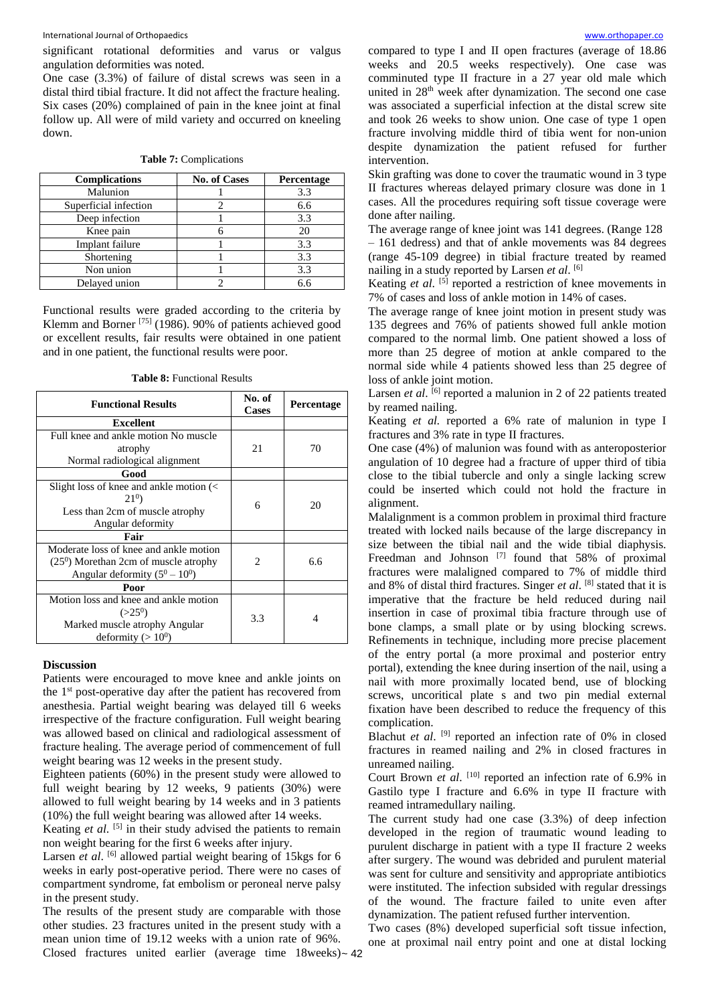International Journal of Orthopaedics

significant rotational deformities and varus or valgus angulation deformities was noted.

One case (3.3%) of failure of distal screws was seen in a distal third tibial fracture. It did not affect the fracture healing. Six cases (20%) complained of pain in the knee joint at final follow up. All were of mild variety and occurred on kneeling down.

|  |  |  |  | <b>Table 7: Complications</b> |
|--|--|--|--|-------------------------------|
|--|--|--|--|-------------------------------|

| <b>Complications</b>  | <b>No. of Cases</b> | Percentage |
|-----------------------|---------------------|------------|
| Malunion              |                     | 3.3        |
| Superficial infection |                     | 6.6        |
| Deep infection        |                     | 3.3        |
| Knee pain             |                     | 20         |
| Implant failure       |                     | 3.3        |
| Shortening            |                     | 3.3        |
| Non union             |                     | 3.3        |
| Delayed union         |                     | 6.6        |

Functional results were graded according to the criteria by Klemm and Borner [75] (1986). 90% of patients achieved good or excellent results, fair results were obtained in one patient and in one patient, the functional results were poor.

| <b>Table 8:</b> Functional Results |  |
|------------------------------------|--|
|------------------------------------|--|

| <b>Functional Results</b>                                         | No. of<br><b>Cases</b> | <b>Percentage</b> |
|-------------------------------------------------------------------|------------------------|-------------------|
| <b>Excellent</b>                                                  |                        |                   |
| Full knee and ankle motion No muscle                              |                        |                   |
| atrophy                                                           | 21                     | 70                |
| Normal radiological alignment                                     |                        |                   |
| Good                                                              |                        |                   |
| Slight loss of knee and ankle motion $\left\langle \right\rangle$ |                        |                   |
| $21^0$                                                            | 6                      | 20                |
| Less than 2cm of muscle atrophy                                   |                        |                   |
| Angular deformity                                                 |                        |                   |
| Fair                                                              |                        |                   |
| Moderate loss of knee and ankle motion                            |                        |                   |
| $(250)$ Morethan 2cm of muscle atrophy                            | 2                      | 6.6               |
| Angular deformity $(5^0 – 10^0)$                                  |                        |                   |
| Poor                                                              |                        |                   |
| Motion loss and knee and ankle motion                             |                        |                   |
| $(>25^0)$                                                         | 3.3                    | 4                 |
| Marked muscle atrophy Angular                                     |                        |                   |
| deformity $(>10^0)$                                               |                        |                   |

# **Discussion**

Patients were encouraged to move knee and ankle joints on the 1st post-operative day after the patient has recovered from anesthesia. Partial weight bearing was delayed till 6 weeks irrespective of the fracture configuration. Full weight bearing was allowed based on clinical and radiological assessment of fracture healing. The average period of commencement of full weight bearing was 12 weeks in the present study.

Eighteen patients (60%) in the present study were allowed to full weight bearing by 12 weeks, 9 patients (30%) were allowed to full weight bearing by 14 weeks and in 3 patients (10%) the full weight bearing was allowed after 14 weeks.

Keating *et al.* <sup>[5]</sup> in their study advised the patients to remain non weight bearing for the first 6 weeks after injury.

Larsen *et al.* <sup>[6]</sup> allowed partial weight bearing of 15kgs for 6 weeks in early post-operative period. There were no cases of compartment syndrome, fat embolism or peroneal nerve palsy in the present study.

Closed fractures united earlier (average time 18weeks)~ 42 The results of the present study are comparable with those other studies. 23 fractures united in the present study with a mean union time of 19.12 weeks with a union rate of 96%.

compared to type I and II open fractures [\(ave](http://www.orthopaper.com/)rage of 18.86 weeks and 20.5 weeks respectively). One case was comminuted type II fracture in a 27 year old male which united in 28th week after dynamization. The second one case was associated a superficial infection at the distal screw site and took 26 weeks to show union. One case of type 1 open fracture involving middle third of tibia went for non-union despite dynamization the patient refused for further intervention.

Skin grafting was done to cover the traumatic wound in 3 type II fractures whereas delayed primary closure was done in 1 cases. All the procedures requiring soft tissue coverage were done after nailing.

The average range of knee joint was 141 degrees. (Range 128 – 161 dedress) and that of ankle movements was 84 degrees (range 45-109 degree) in tibial fracture treated by reamed nailing in a study reported by Larsen *et al*. [6]

Keating et al. <sup>[5]</sup> reported a restriction of knee movements in 7% of cases and loss of ankle motion in 14% of cases.

The average range of knee joint motion in present study was 135 degrees and 76% of patients showed full ankle motion compared to the normal limb. One patient showed a loss of more than 25 degree of motion at ankle compared to the normal side while 4 patients showed less than 25 degree of loss of ankle joint motion.

Larsen *et al.* <sup>[6]</sup> reported a malunion in 2 of 22 patients treated by reamed nailing.

Keating *et al.* reported a 6% rate of malunion in type I fractures and 3% rate in type II fractures.

One case (4%) of malunion was found with as anteroposterior angulation of 10 degree had a fracture of upper third of tibia close to the tibial tubercle and only a single lacking screw could be inserted which could not hold the fracture in alignment.

Malalignment is a common problem in proximal third fracture treated with locked nails because of the large discrepancy in size between the tibial nail and the wide tibial diaphysis. Freedman and Johnson<sup>[7]</sup> found that 58% of proximal fractures were malaligned compared to 7% of middle third and 8% of distal third fractures. Singer *et al*. [8] stated that it is imperative that the fracture be held reduced during nail insertion in case of proximal tibia fracture through use of bone clamps, a small plate or by using blocking screws. Refinements in technique, including more precise placement of the entry portal (a more proximal and posterior entry portal), extending the knee during insertion of the nail, using a nail with more proximally located bend, use of blocking screws, uncoritical plate s and two pin medial external fixation have been described to reduce the frequency of this complication.

Blachut et al. <sup>[9]</sup> reported an infection rate of 0% in closed fractures in reamed nailing and 2% in closed fractures in unreamed nailing.

Court Brown *et al.* <sup>[10]</sup> reported an infection rate of 6.9% in Gastilo type I fracture and 6.6% in type II fracture with reamed intramedullary nailing.

The current study had one case (3.3%) of deep infection developed in the region of traumatic wound leading to purulent discharge in patient with a type II fracture 2 weeks after surgery. The wound was debrided and purulent material was sent for culture and sensitivity and appropriate antibiotics were instituted. The infection subsided with regular dressings of the wound. The fracture failed to unite even after dynamization. The patient refused further intervention.

Two cases (8%) developed superficial soft tissue infection, one at proximal nail entry point and one at distal locking